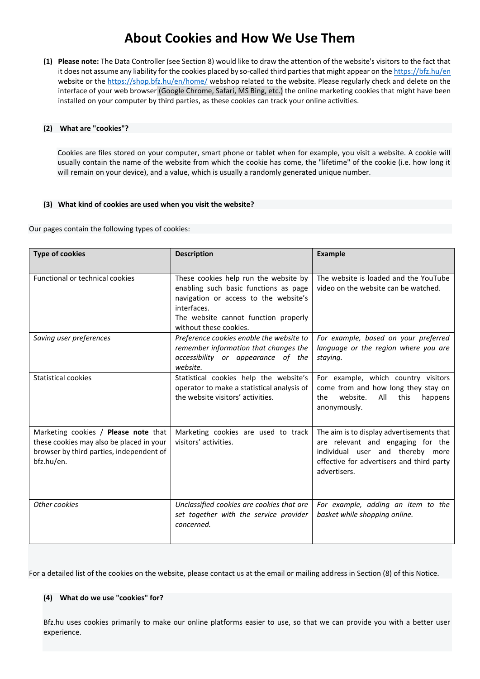# **About Cookies and How We Use Them**

**(1) Please note:** The Data Controller (see Section 8) would like to draw the attention of the website's visitors to the fact that it does not assume any liability for the cookies placed by so-called third parties that might appear on th[e https://bfz.hu/en](https://bfz.hu/en) website or the<https://shop.bfz.hu/en/home/> webshop related to the website. Please regularly check and delete on the interface of your web browser (Google Chrome, Safari, MS Bing, etc.) the online marketing cookies that might have been installed on your computer by third parties, as these cookies can track your online activities.

## **(2) What are "cookies"?**

Cookies are files stored on your computer, smart phone or tablet when for example, you visit a website. A cookie will usually contain the name of the website from which the cookie has come, the "lifetime" of the cookie (i.e. how long it will remain on your device), and a value, which is usually a randomly generated unique number.

## **(3) What kind of cookies are used when you visit the website?**

Our pages contain the following types of cookies:

| <b>Type of cookies</b>                                                                                                                     | <b>Description</b>                                                                                                                                                                                       | <b>Example</b>                                                                                                                                                                  |
|--------------------------------------------------------------------------------------------------------------------------------------------|----------------------------------------------------------------------------------------------------------------------------------------------------------------------------------------------------------|---------------------------------------------------------------------------------------------------------------------------------------------------------------------------------|
| Functional or technical cookies                                                                                                            | These cookies help run the website by<br>enabling such basic functions as page<br>navigation or access to the website's<br>interfaces.<br>The website cannot function properly<br>without these cookies. | The website is loaded and the YouTube<br>video on the website can be watched.                                                                                                   |
| Saving user preferences                                                                                                                    | Preference cookies enable the website to<br>remember information that changes the<br>accessibility or appearance of the<br>website.                                                                      | For example, based on your preferred<br>language or the region where you are<br>staying.                                                                                        |
| Statistical cookies                                                                                                                        | Statistical cookies help the website's<br>operator to make a statistical analysis of<br>the website visitors' activities.                                                                                | For example, which country visitors<br>come from and how long they stay on<br>website.<br>All<br>this<br>happens<br>the<br>anonymously.                                         |
| Marketing cookies / Please note that<br>these cookies may also be placed in your<br>browser by third parties, independent of<br>bfz.hu/en. | Marketing cookies are used to track<br>visitors' activities.                                                                                                                                             | The aim is to display advertisements that<br>are relevant and engaging for the<br>individual user and thereby more<br>effective for advertisers and third party<br>advertisers. |
| Other cookies                                                                                                                              | Unclassified cookies are cookies that are<br>set together with the service provider<br>concerned.                                                                                                        | For example, adding an item to the<br>basket while shopping online.                                                                                                             |

For a detailed list of the cookies on the website, please contact us at the email or mailing address in Section (8) of this Notice.

## **(4) What do we use "cookies" for?**

Bfz.hu uses cookies primarily to make our online platforms easier to use, so that we can provide you with a better user experience.